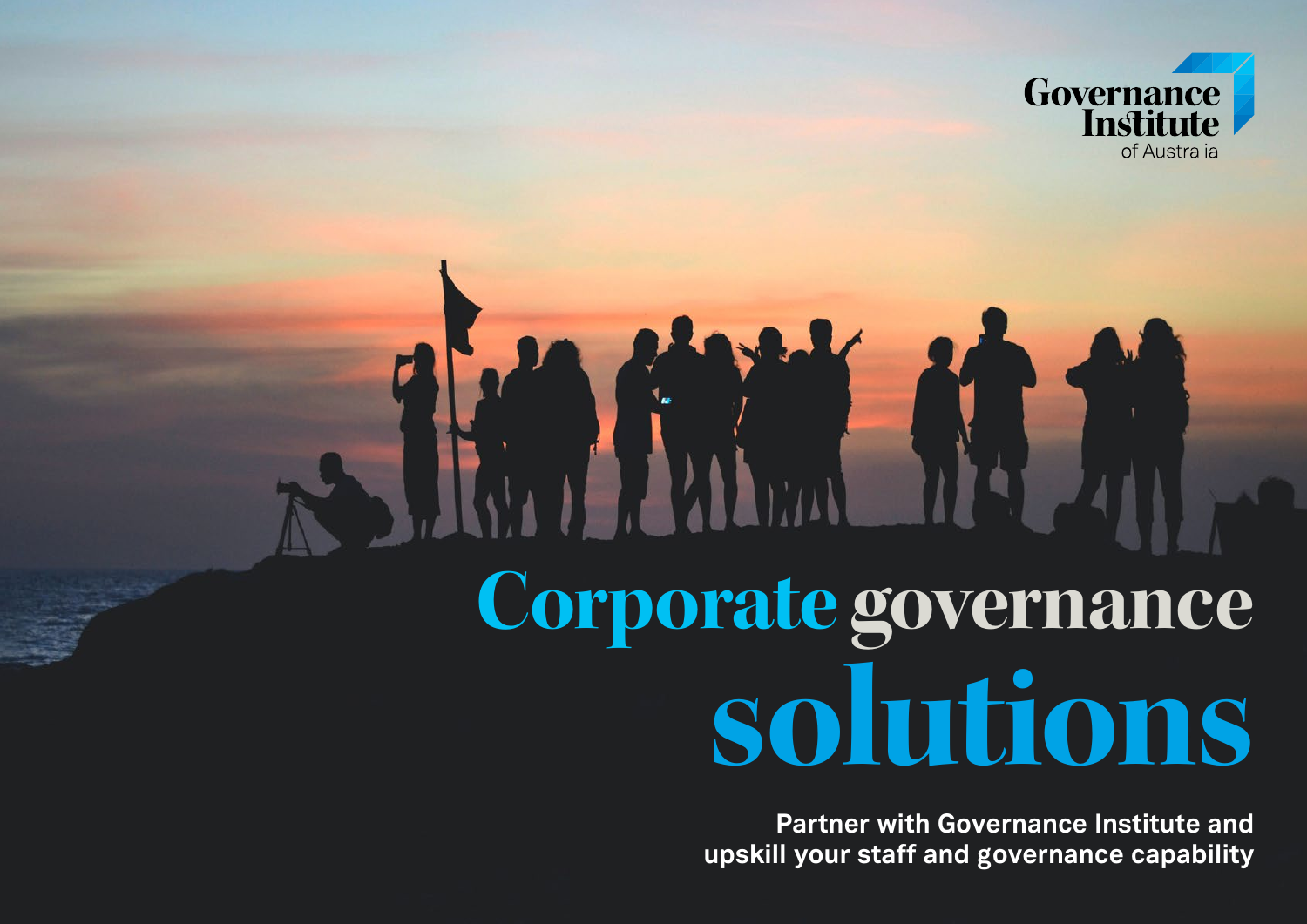

# **Corporate governance solutions**

**Partner with Governance Institute and upskill your staff and governance capability**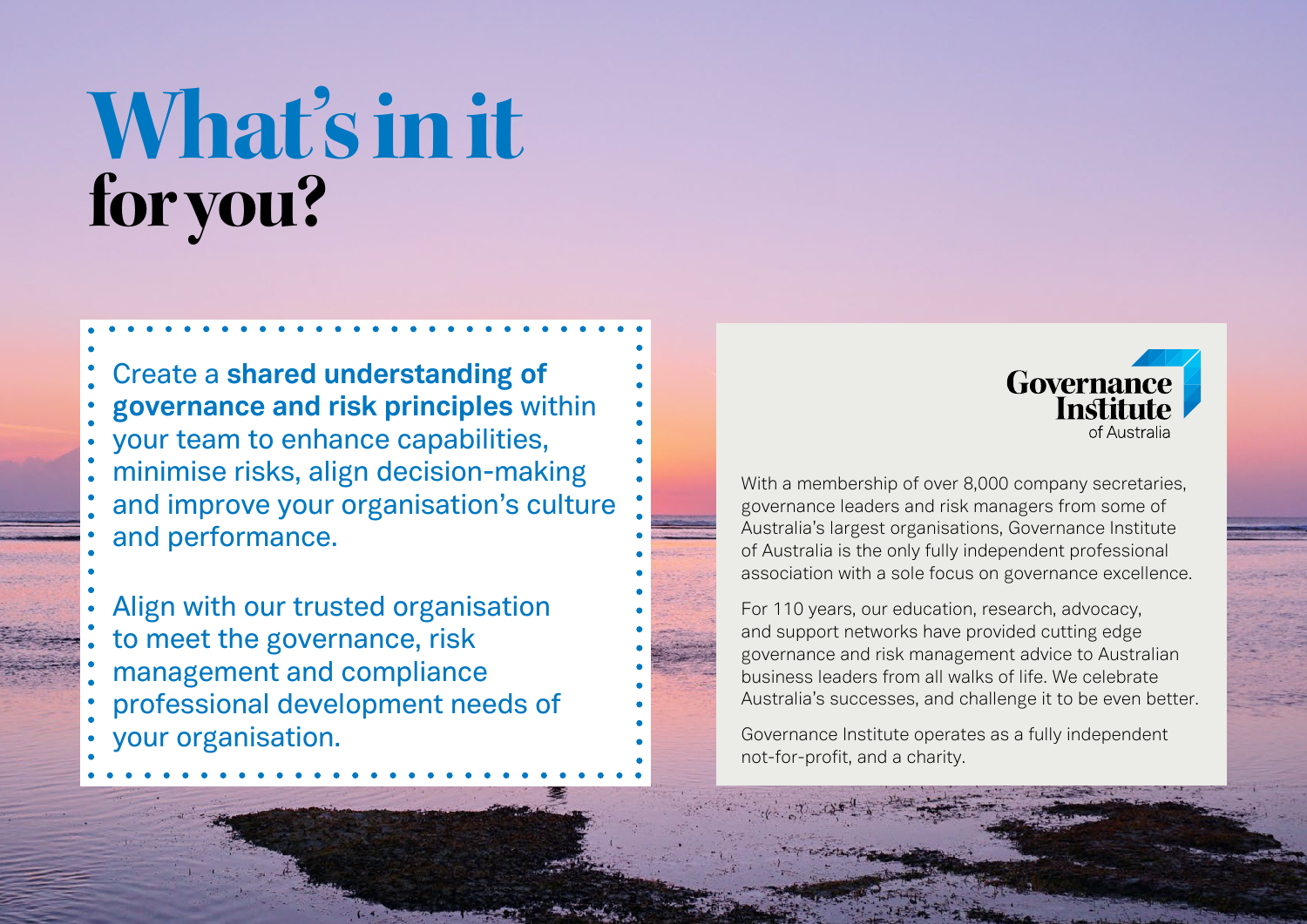## **What's in it for you?**

Create a **shared understanding of governance and risk principles** within your team to enhance capabilities, minimise risks, align decision-making and improve your organisation's culture and performance.

Align with our trusted organisation to meet the governance, risk management and compliance professional development needs of your organisation.



With a membership of over 8,000 company secretaries, governance leaders and risk managers from some of Australia's largest organisations, Governance Institute of Australia is the only fully independent professional association with a sole focus on governance excellence.

For 110 years, our education, research, advocacy, and support networks have provided cutting edge governance and risk management advice to Australian business leaders from all walks of life. We celebrate Australia's successes, and challenge it to be even better.

Governance Institute operates as a fully independent not-for-profit, and a charity.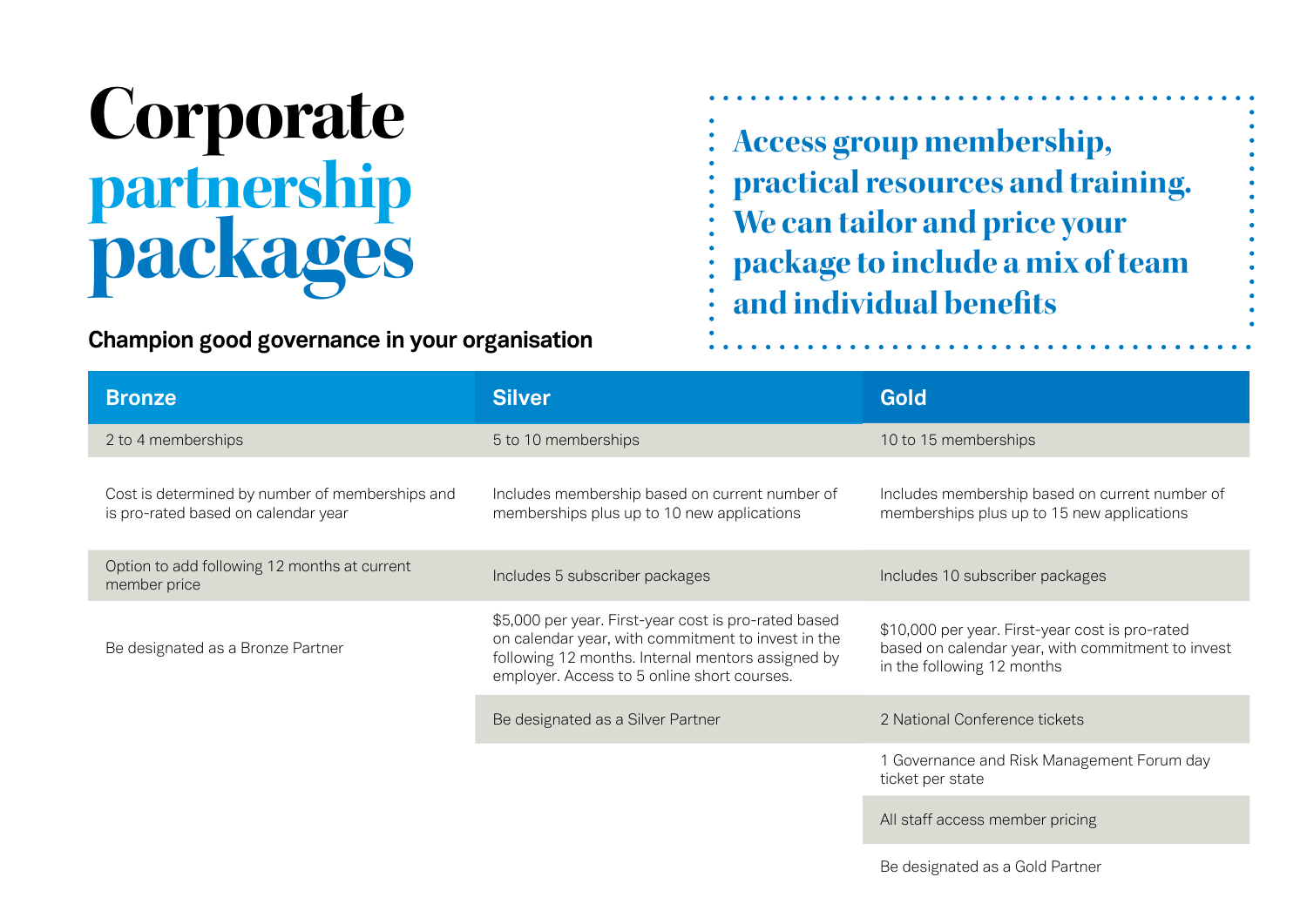#### **Corporate partnership packages**

#### **Champion good governance in your organisation**

**Access group membership, practical resources and training. We can tailor and price your package to include a mix of team and individual benefits**

| <b>Bronze</b>                                                                          | <b>Silver</b>                                                                                                                                                                                                  | <b>Gold</b>                                                                                                                        |
|----------------------------------------------------------------------------------------|----------------------------------------------------------------------------------------------------------------------------------------------------------------------------------------------------------------|------------------------------------------------------------------------------------------------------------------------------------|
| 2 to 4 memberships                                                                     | 5 to 10 memberships                                                                                                                                                                                            | 10 to 15 memberships                                                                                                               |
| Cost is determined by number of memberships and<br>is pro-rated based on calendar year | Includes membership based on current number of<br>memberships plus up to 10 new applications                                                                                                                   | Includes membership based on current number of<br>memberships plus up to 15 new applications                                       |
| Option to add following 12 months at current<br>member price                           | Includes 5 subscriber packages                                                                                                                                                                                 | Includes 10 subscriber packages                                                                                                    |
| Be designated as a Bronze Partner                                                      | \$5,000 per year. First-year cost is pro-rated based<br>on calendar year, with commitment to invest in the<br>following 12 months. Internal mentors assigned by<br>employer. Access to 5 online short courses. | \$10,000 per year. First-year cost is pro-rated<br>based on calendar year, with commitment to invest<br>in the following 12 months |
|                                                                                        | Be designated as a Silver Partner                                                                                                                                                                              | 2 National Conference tickets                                                                                                      |
|                                                                                        |                                                                                                                                                                                                                | 1 Governance and Risk Management Forum day<br>ticket per state                                                                     |
|                                                                                        |                                                                                                                                                                                                                | All staff access member pricing                                                                                                    |
|                                                                                        |                                                                                                                                                                                                                | Be designated as a Gold Partner                                                                                                    |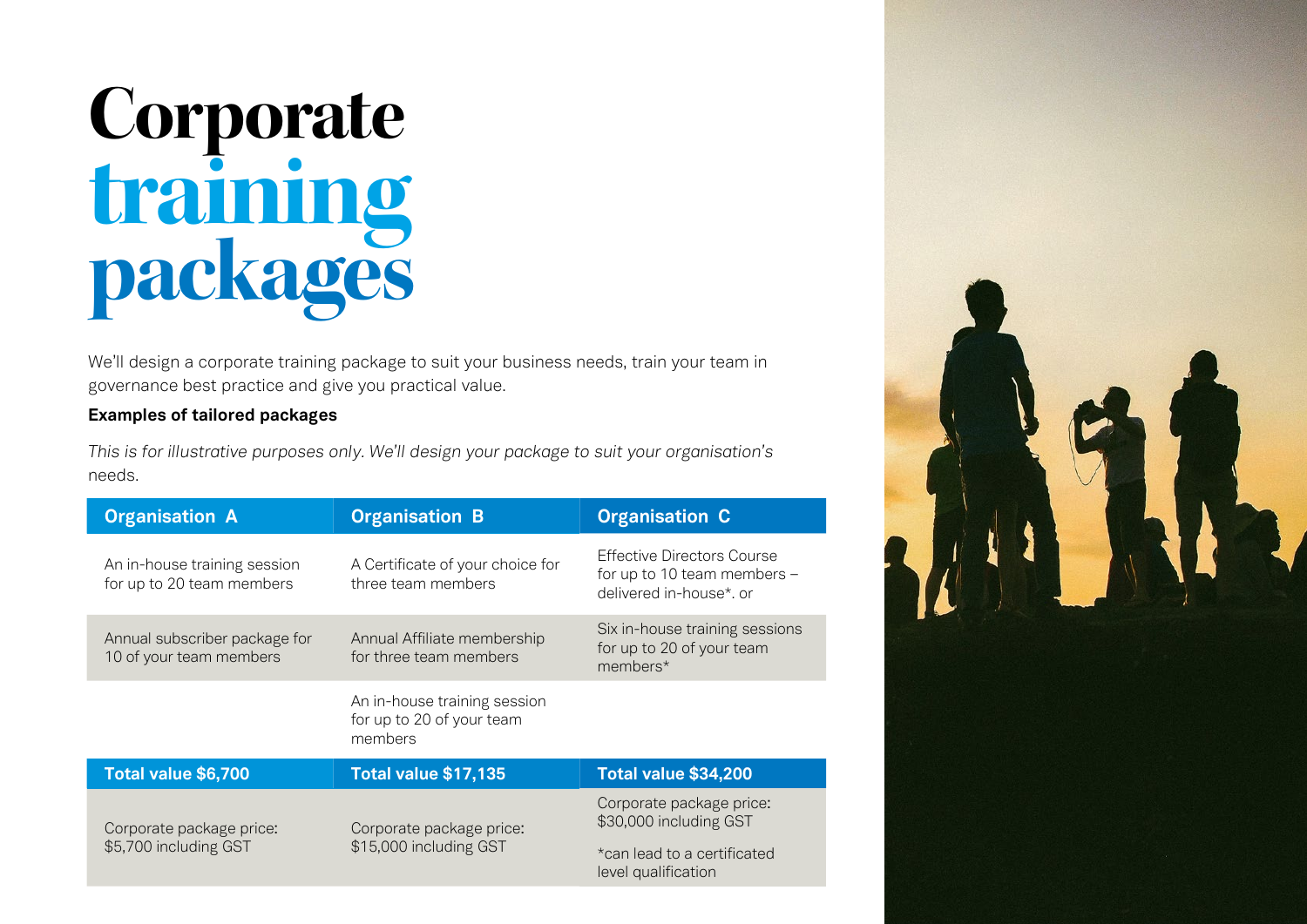### **Corporate training packages**

We'll design a corporate training package to suit your business needs, train your team in governance best practice and give you practical value.

#### **Examples of tailored packages**

*This is for illustrative purposes only. We'll design your package to suit your organisation's*  needs.

| <b>Organisation A</b>                                     | <b>Organisation B</b>                                                | <b>Organisation C</b>                                                                                    |
|-----------------------------------------------------------|----------------------------------------------------------------------|----------------------------------------------------------------------------------------------------------|
| An in-house training session<br>for up to 20 team members | A Certificate of your choice for<br>three team members               | <b>Effective Directors Course</b><br>for up to 10 team members -<br>delivered in-house*, or              |
| Annual subscriber package for<br>10 of your team members  | Annual Affiliate membership<br>for three team members                | Six in-house training sessions<br>for up to 20 of your team<br>members*                                  |
|                                                           | An in-house training session<br>for up to 20 of your team<br>members |                                                                                                          |
| Total value \$6,700                                       | <b>Total value \$17,135</b>                                          | <b>Total value \$34,200</b>                                                                              |
| Corporate package price:<br>\$5,700 including GST         | Corporate package price:<br>\$15,000 including GST                   | Corporate package price:<br>\$30,000 including GST<br>*can lead to a certificated<br>level qualification |
|                                                           |                                                                      |                                                                                                          |

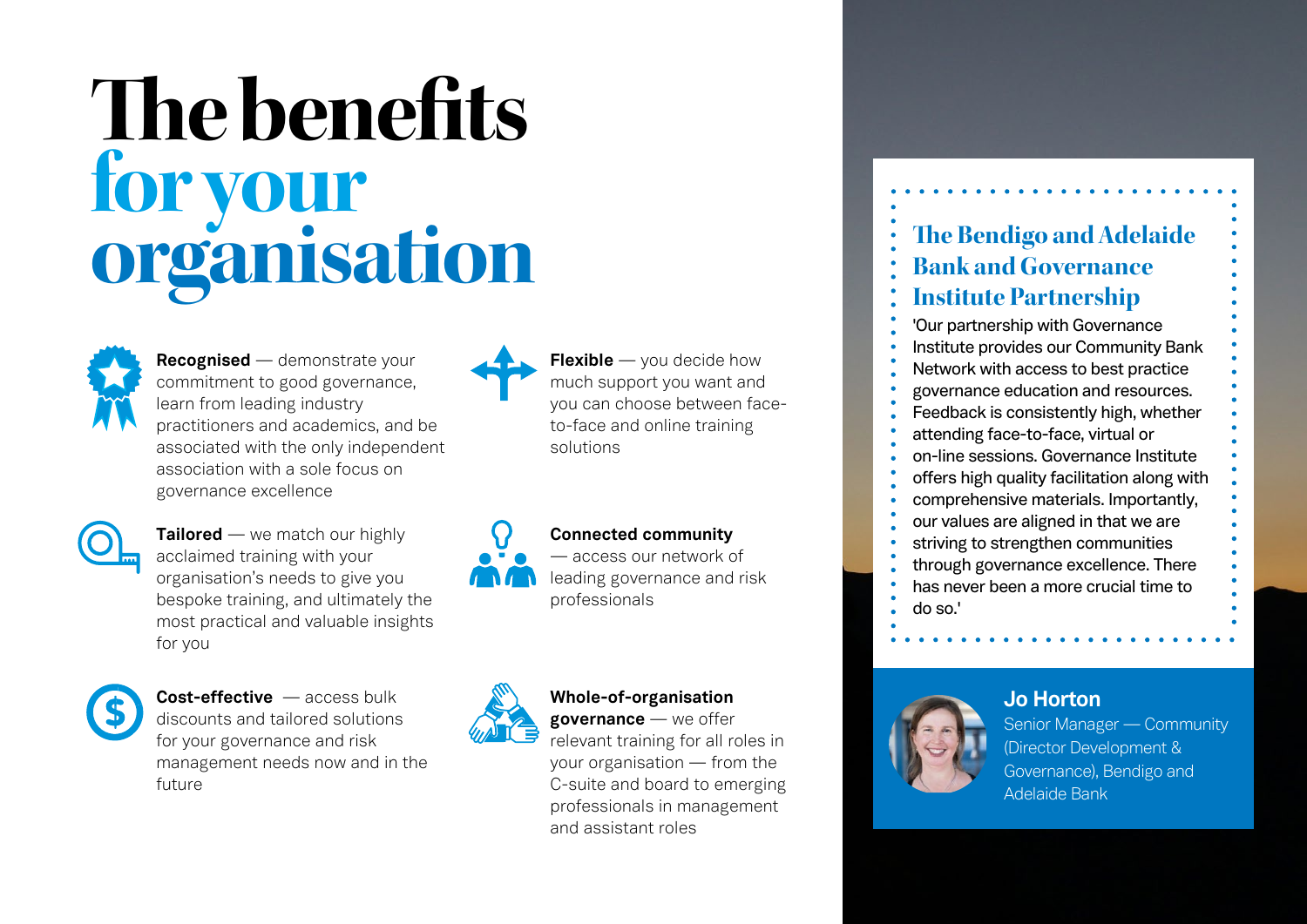## **The benefits for your organisation The Bendigo and Adelaide**<br> **The Bendigo and Adelaide**<br> **The Bendigo and Adelaide**<br> **The Bendigo and Adelaide**<br> **The Bendigo and Adelaide**<br> **The Bendigo and Adelaide**<br> **The Bendigo and Adelaide**<br> **The Bendig**



**Recognised** — demonstrate your commitment to good governance, learn from leading industry practitioners and academics, and be associated with the only independent association with a sole focus on governance excellence



**Tailored** — we match our highly acclaimed training with your organisation's needs to give you bespoke training, and ultimately the most practical and valuable insights for you



**Cost-effective** — access bulk discounts and tailored solutions for your governance and risk management needs now and in the future

**Flexible** — you decide how much support you want and you can choose between face-

solutions

**Connected community** — access our network of leading governance and risk professionals

to-face and online training



#### **Whole-of-organisation governance** — we offer

relevant training for all roles in your organisation — from the C-suite and board to emerging professionals in management and assistant roles





**Jo Horton**  Senior Manager — Community (Director Development & Governance), Bendigo and Adelaide Bank